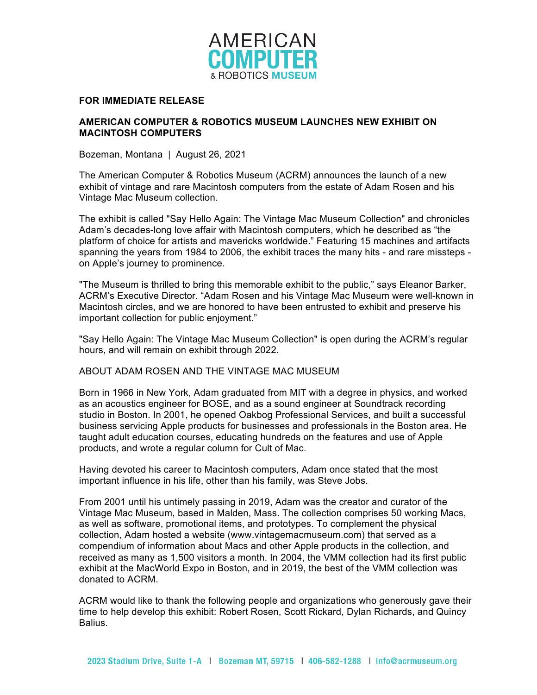

## **FOR IMMEDIATE RELEASE**

## **AMERICAN COMPUTER & ROBOTICS MUSEUM LAUNCHES NEW EXHIBIT ON MACINTOSH COMPUTERS**

Bozeman, Montana | August 26, 2021

The American Computer & Robotics Museum (ACRM) announces the launch of a new exhibit of vintage and rare Macintosh computers from the estate of Adam Rosen and his Vintage Mac Museum collection.

The exhibit is called "Say Hello Again: The Vintage Mac Museum Collection" and chronicles Adam's decades-long love affair with Macintosh computers, which he described as "the platform of choice for artists and mavericks worldwide." Featuring 15 machines and artifacts spanning the years from 1984 to 2006, the exhibit traces the many hits - and rare missteps on Apple's journey to prominence.

"The Museum is thrilled to bring this memorable exhibit to the public," says Eleanor Barker, ACRM's Executive Director. "Adam Rosen and his Vintage Mac Museum were well-known in Macintosh circles, and we are honored to have been entrusted to exhibit and preserve his important collection for public enjoyment."

"Say Hello Again: The Vintage Mac Museum Collection" is open during the ACRM's regular hours, and will remain on exhibit through 2022.

## ABOUT ADAM ROSEN AND THE VINTAGE MAC MUSEUM

Born in 1966 in New York, Adam graduated from MIT with a degree in physics, and worked as an acoustics engineer for BOSE, and as a sound engineer at Soundtrack recording studio in Boston. In 2001, he opened Oakbog Professional Services, and built a successful business servicing Apple products for businesses and professionals in the Boston area. He taught adult education courses, educating hundreds on the features and use of Apple products, and wrote a regular column for Cult of Mac.

Having devoted his career to Macintosh computers, Adam once stated that the most important influence in his life, other than his family, was Steve Jobs.

From 2001 until his untimely passing in 2019, Adam was the creator and curator of the Vintage Mac Museum, based in Malden, Mass. The collection comprises 50 working Macs, as well as software, promotional items, and prototypes. To complement the physical collection, Adam hosted a website (www.vintagemacmuseum.com) that served as a compendium of information about Macs and other Apple products in the collection, and received as many as 1,500 visitors a month. In 2004, the VMM collection had its first public exhibit at the MacWorld Expo in Boston, and in 2019, the best of the VMM collection was donated to ACRM.

ACRM would like to thank the following people and organizations who generously gave their time to help develop this exhibit: Robert Rosen, Scott Rickard, Dylan Richards, and Quincy Balius.